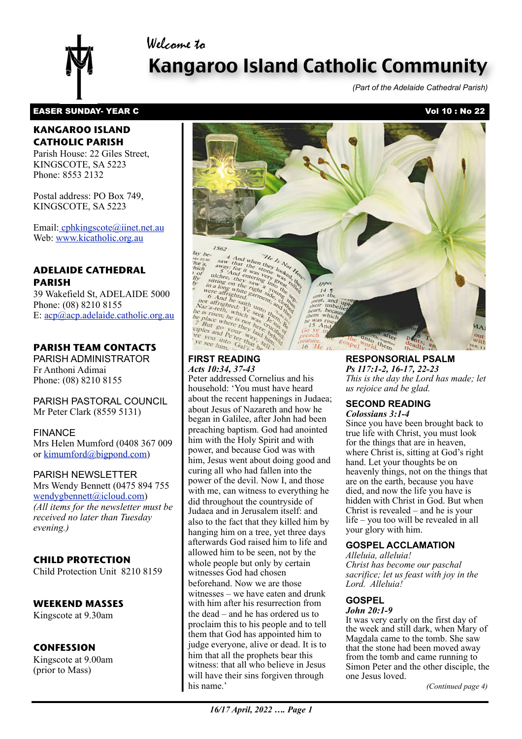## Welcome to



# Kangaroo Island Catholic Community

*(Part of the Adelaide Cathedral Parish)*

## EASER SUNDAY- YEAR C Vol 10 : No 22

### **KANGAROO ISLAND CATHOLIC PARISH**

Parish House: 22 Giles Street, KINGSCOTE, SA 5223 Phone: 8553 2132

Postal address: PO Box 749, KINGSCOTE, SA 5223

Email[: cphkingscote@iinet.net.au](mailto:cphkingscote@iinet.net.au) Web: [www.kicatholic.org.au](http://www.kicatholic.org.au)

### **ADELAIDE CATHEDRAL PARISH**

39 Wakefield St, ADELAIDE 5000 Phone: (08) 8210 8155 E: [acp@acp.adelaide.catholic.org.au](mailto:?subject=)

### **PARISH TEAM CONTACTS**

PARISH ADMINISTRATOR Fr Anthoni Adimai Phone: (08) 8210 8155

PARISH PASTORAL COUNCIL Mr Peter Clark (8559 5131)

### FINANCE

Mrs Helen Mumford (0408 367 009 or [kimumford@bigpond.com\)](mailto:kimumford@bigpond.com)

#### PARISH NEWSLETTER

Mrs Wendy Bennett (0475 894 755 [wendygbennett@icloud.com\)](mailto:wendygbennett@icloud.com) *(All items for the newsletter must be received no later than Tuesday evening.)*

## **CHILD PROTECTION**

Child Protection Unit 8210 8159

#### **WEEKEND MASSES**

Kingscote at 9.30am

### **CONFESSION**

Kingscote at 9.00am (prior to Mass)



## *Acts 10:34, 37-43*

Peter addressed Cornelius and his household: 'You must have heard about the recent happenings in Judaea; about Jesus of Nazareth and how he began in Galilee, after John had been preaching baptism. God had anointed him with the Holy Spirit and with power, and because God was with him, Jesus went about doing good and curing all who had fallen into the power of the devil. Now I, and those with me, can witness to everything he did throughout the countryside of Judaea and in Jerusalem itself: and also to the fact that they killed him by hanging him on a tree, yet three days afterwards God raised him to life and allowed him to be seen, not by the whole people but only by certain witnesses God had chosen beforehand. Now we are those witnesses – we have eaten and drunk with him after his resurrection from the dead – and he has ordered us to proclaim this to his people and to tell them that God has appointed him to judge everyone, alive or dead. It is to him that all the prophets bear this witness: that all who believe in Jesus will have their sins forgiven through his name.'

### **RESPONSORIAL PSALM**

*Ps 117:1-2, 16-17, 22-23 This is the day the Lord has made; let us rejoice and be glad.*

#### **SECOND READING** *Colossians 3:1-4*

Since you have been brought back to true life with Christ, you must look for the things that are in heaven, where Christ is, sitting at God's right hand. Let your thoughts be on heavenly things, not on the things that are on the earth, because you have died, and now the life you have is hidden with Christ in God. But when Christ is revealed – and he is your life – you too will be revealed in all your glory with him.

#### **GOSPEL ACCLAMATION**

*Alleluia, alleluia! Christ has become our paschal sacrifice; let us feast with joy in the Lord. Alleluia!*

### **GOSPEL**

*John 20:1-9* It was very early on the first day of the week and still dark, when Mary of Magdala came to the tomb. She saw that the stone had been moved away from the tomb and came running to Simon Peter and the other disciple, the one Jesus loved.

*(Continued page 4)*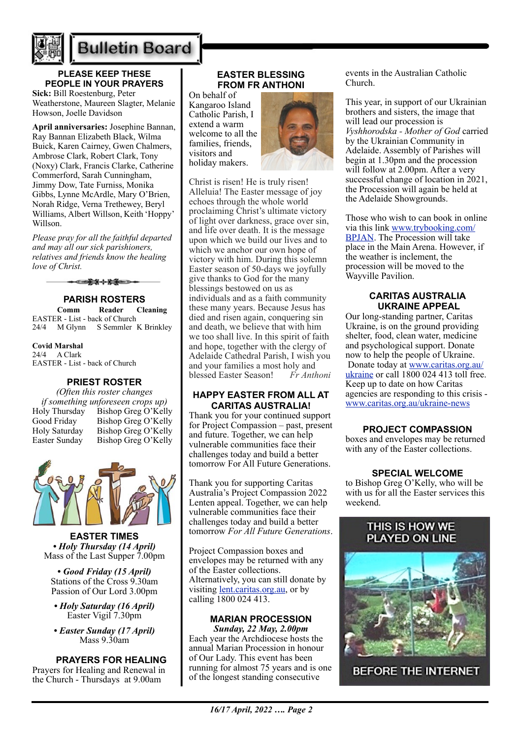

# **Bulletin Board**

## **PLEASE KEEP THESE PEOPLE IN YOUR PRAYERS**

**Sick:** Bill Roestenburg, Peter Weatherstone, Maureen Slagter, Melanie Howson, Joelle Davidson

**April anniversaries:** Josephine Bannan, Ray Bannan Elizabeth Black, Wilma Buick, Karen Cairney, Gwen Chalmers, Ambrose Clark, Robert Clark, Tony (Noxy) Clark, Francis Clarke, Catherine Commerford, Sarah Cunningham, Jimmy Dow, Tate Furniss, Monika Gibbs, Lynne McArdle, Mary O'Brien, Norah Ridge, Verna Trethewey, Beryl Williams, Albert Willson, Keith 'Hoppy' Willson.

*Please pray for all the faithful departed and may all our sick parishioners, relatives and friends know the healing love of Christ.*

**PARISH ROSTERS Comm Reader Cleaning** EASTER - List - back of Church 24/4 M Glynn S Semmler K Brinkley

 $+$   $+$   $+$   $-$ 

**Covid Marshal**  24/4 A Clark EASTER - List - back of Church

### **PRIEST ROSTER**

*(Often this roster changes if something unforeseen crops up)* Holy Thursday Bishop Greg O'Kelly Good Friday Bishop Greg O'Kelly Holy Saturday Bishop Greg O'Kelly Easter Sunday Bishop Greg O'Kelly



**EASTER TIMES** *• Holy Thursday (14 April)* Mass of the Last Supper 7.00pm

*• Good Friday (15 April)* Stations of the Cross 9.30am Passion of Our Lord 3.00pm

- *Holy Saturday (16 April)* Easter Vigil 7.30pm
- *Easter Sunday (17 April)* Mass 9.30am

 **PRAYERS FOR HEALING** Prayers for Healing and Renewal in the Church - Thursdays at 9.00am

#### **EASTER BLESSING FROM FR ANTHONI**

On behalf of Kangaroo Island Catholic Parish, I extend a warm welcome to all the families, friends, visitors and holiday makers.



Christ is risen! He is truly risen! Alleluia! The Easter message of joy echoes through the whole world proclaiming Christ's ultimate victory of light over darkness, grace over sin, and life over death. It is the message upon which we build our lives and to which we anchor our own hope of victory with him. During this solemn Easter season of 50-days we joyfully give thanks to God for the many blessings bestowed on us as individuals and as a faith community these many years. Because Jesus has died and risen again, conquering sin and death, we believe that with him we too shall live. In this spirit of faith and hope, together with the clergy of Adelaide Cathedral Parish, I wish you and your families a most holy and blessed Easter Season! *Fr Anthoni*

#### **HAPPY EASTER FROM ALL AT CARITAS AUSTRALIA!**

Thank you for your continued support for Project Compassion – past, present and future. Together, we can help vulnerable communities face their challenges today and build a better tomorrow For All Future Generations.

Thank you for supporting Caritas Australia's Project Compassion 2022 Lenten appeal. Together, we can help vulnerable communities face their challenges today and build a better tomorrow *For All Future Generations*.

Project Compassion boxes and envelopes may be returned with any of the Easter collections. Alternatively, you can still donate by visiting [lent.caritas.org.au](http://www.caritas.org.au/projectcompassion), or by calling 1800 024 413.

## **MARIAN PROCESSION**

*Sunday, 22 May, 2.00pm*  Each year the Archdiocese hosts the annual Marian Procession in honour of Our Lady. This event has been running for almost 75 years and is one of the longest standing consecutive

events in the Australian Catholic Church.

This year, in support of our Ukrainian brothers and sisters, the image that will lead our procession is *Vyshhorodska - Mother of God* carried by the Ukrainian Community in Adelaide. Assembly of Parishes will begin at 1.30pm and the procession will follow at 2.00pm. After a very successful change of location in 2021, the Procession will again be held at the Adelaide Showgrounds.

Those who wish to can book in online via this link [www.trybooking.com/](http://www.trybooking.com/BPJAN) [BPJAN](http://www.trybooking.com/BPJAN). The Procession will take place in the Main Arena. However, if the weather is inclement, the procession will be moved to the Wayville Pavilion.

#### **CARITAS AUSTRALIA UKRAINE APPEAL**

Our long-standing partner, Caritas Ukraine, is on the ground providing shelter, food, clean water, medicine and psychological support. Donate now to help the people of Ukraine. Donate today at [www.caritas.org.au/](https://aus01.safelinks.protection.outlook.com/?url=http%3A%2F%2Fwww.caritas.org.au%2Fukraine&data=04%7C01%7CCco-Reception%40adelaide.catholic.org.au%7Cfc58bf7f33d340f2ee9b08da07b447d1%7Cfe51d108d61d407cbcaaaab5af82a7ac%7C1%7C0%7C637830768121954887%7CUnknown%7CTWFpbGZsb3d8eyJWIjoiMC4wLjAwMDAiLCJQIjoiV2luMzIiLCJBTiI6Ik1haWwiLCJXVCI6Mn0%3D%7C3000&sdata=rOXCte9AEd2c89fp5zaw9%2FEi7PK87M7lemKGAncPi%2B8%3D&reserved=0) [ukraine](https://aus01.safelinks.protection.outlook.com/?url=http%3A%2F%2Fwww.caritas.org.au%2Fukraine&data=04%7C01%7CCco-Reception%40adelaide.catholic.org.au%7Cfc58bf7f33d340f2ee9b08da07b447d1%7Cfe51d108d61d407cbcaaaab5af82a7ac%7C1%7C0%7C637830768121954887%7CUnknown%7CTWFpbGZsb3d8eyJWIjoiMC4wLjAwMDAiLCJQIjoiV2luMzIiLCJBTiI6Ik1haWwiLCJXVCI6Mn0%3D%7C3000&sdata=rOXCte9AEd2c89fp5zaw9%2FEi7PK87M7lemKGAncPi%2B8%3D&reserved=0) or call 1800 024 413 toll free. Keep up to date on how Caritas agencies are responding to this crisis [www.caritas.org.au/ukraine-news](https://aus01.safelinks.protection.outlook.com/?url=http%3A%2F%2Fwww.caritas.org.au%2Fukraine-news&data=04%7C01%7CCco-Reception%40adelaide.catholic.org.au%7Cfc58bf7f33d340f2ee9b08da07b447d1%7Cfe51d108d61d407cbcaaaab5af82a7ac%7C1%7C0%7C637830768121954887%7CUnknown%7CTWFpbGZsb3d8eyJWIjoiMC4wLjAwMDAiLCJQIjoiV2luMzIiLCJBTiI6Ik1haWwiLCJXVCI6Mn0%3D%7C3000&sdata=GLRcp0dt1SgGoLPRBlSbLWB%2Fp8GMz2LoehdjvnSFQWg%3D&reserved=0)

#### **PROJECT COMPASSION**

boxes and envelopes may be returned with any of the Easter collections.

### **SPECIAL WELCOME**

to Bishop Greg O'Kelly, who will be with us for all the Easter services this weekend.



**BEFORE THE INTERNET**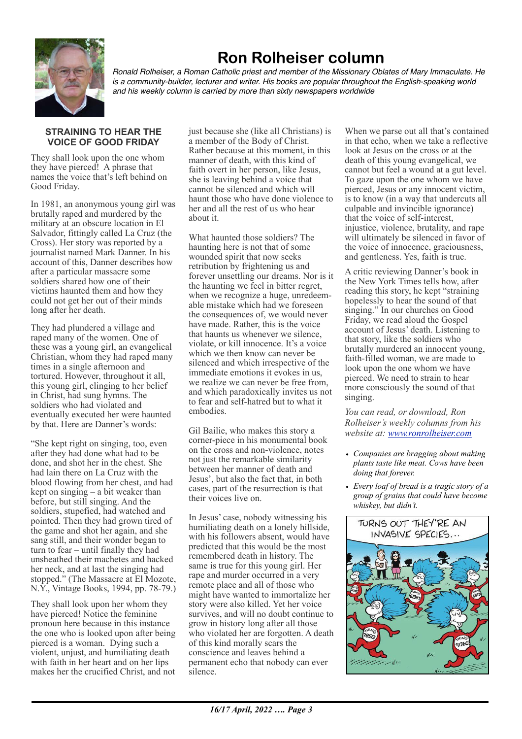

## **Ron Rolheiser column**

*Ronald Rolheiser, a Roman Catholic priest and member of the Missionary Oblates of Mary Immaculate. He*  is a community-builder, lecturer and writer. His books are popular throughout the English-speaking world *and his weekly column is carried by more than sixty newspapers worldwide*

#### **STRAINING TO HEAR THE VOICE OF GOOD FRIDAY**

They shall look upon the one whom they have pierced! A phrase that names the voice that's left behind on Good Friday.

In 1981, an anonymous young girl was brutally raped and murdered by the military at an obscure location in El Salvador, fittingly called La Cruz (the Cross). Her story was reported by a journalist named Mark Danner. In his account of this, Danner describes how after a particular massacre some soldiers shared how one of their victims haunted them and how they could not get her out of their minds long after her death.

They had plundered a village and raped many of the women. One of these was a young girl, an evangelical Christian, whom they had raped many times in a single afternoon and tortured. However, throughout it all, this young girl, clinging to her belief in Christ, had sung hymns. The soldiers who had violated and eventually executed her were haunted by that. Here are Danner's words:

"She kept right on singing, too, even after they had done what had to be done, and shot her in the chest. She had lain there on La Cruz with the blood flowing from her chest, and had kept on singing – a bit weaker than before, but still singing. And the soldiers, stupefied, had watched and pointed. Then they had grown tired of the game and shot her again, and she sang still, and their wonder began to turn to fear – until finally they had unsheathed their machetes and hacked her neck, and at last the singing had stopped." (The Massacre at El Mozote, N.Y., Vintage Books, 1994, pp. 78-79.)

They shall look upon her whom they have pierced! Notice the feminine pronoun here because in this instance the one who is looked upon after being pierced is a woman. Dying such a violent, unjust, and humiliating death with faith in her heart and on her lips makes her the crucified Christ, and not

just because she (like all Christians) is a member of the Body of Christ. Rather because at this moment, in this manner of death, with this kind of faith overt in her person, like Jesus, she is leaving behind a voice that cannot be silenced and which will haunt those who have done violence to her and all the rest of us who hear about it.

What haunted those soldiers? The haunting here is not that of some wounded spirit that now seeks retribution by frightening us and forever unsettling our dreams. Nor is it the haunting we feel in bitter regret, when we recognize a huge, unredeemable mistake which had we foreseen the consequences of, we would never have made. Rather, this is the voice that haunts us whenever we silence, violate, or kill innocence. It's a voice which we then know can never be silenced and which irrespective of the immediate emotions it evokes in us we realize we can never be free from. and which paradoxically invites us not to fear and self-hatred but to what it embodies.

Gil Bailie, who makes this story a corner-piece in his monumental book on the cross and non-violence, notes not just the remarkable similarity between her manner of death and Jesus', but also the fact that, in both cases, part of the resurrection is that their voices live on.

In Jesus' case, nobody witnessing his humiliating death on a lonely hillside, with his followers absent, would have predicted that this would be the most remembered death in history. The same is true for this young girl. Her rape and murder occurred in a very remote place and all of those who might have wanted to immortalize her story were also killed. Yet her voice survives, and will no doubt continue to grow in history long after all those who violated her are forgotten. A death of this kind morally scars the conscience and leaves behind a permanent echo that nobody can ever silence.

When we parse out all that's contained in that echo, when we take a reflective look at Jesus on the cross or at the death of this young evangelical, we cannot but feel a wound at a gut level. To gaze upon the one whom we have pierced, Jesus or any innocent victim, is to know (in a way that undercuts all culpable and invincible ignorance) that the voice of self-interest, injustice, violence, brutality, and rape will ultimately be silenced in favor of the voice of innocence, graciousness, and gentleness. Yes, faith is true.

A critic reviewing Danner's book in the New York Times tells how, after reading this story, he kept "straining hopelessly to hear the sound of that singing." In our churches on Good Friday, we read aloud the Gospel account of Jesus' death. Listening to that story, like the soldiers who brutally murdered an innocent young, faith-filled woman, we are made to look upon the one whom we have pierced. We need to strain to hear more consciously the sound of that singing.

*You can read, or download, Ron Rolheiser's weekly columns from his website at: [www.ronrolheiser.com](http://www.ronrolheiser.com)*

- *• Companies are bragging about making plants taste like meat. Cows have been doing that forever.*
- *• Every loaf of bread is a tragic story of a group of grains that could have become whiskey, but didn't.*